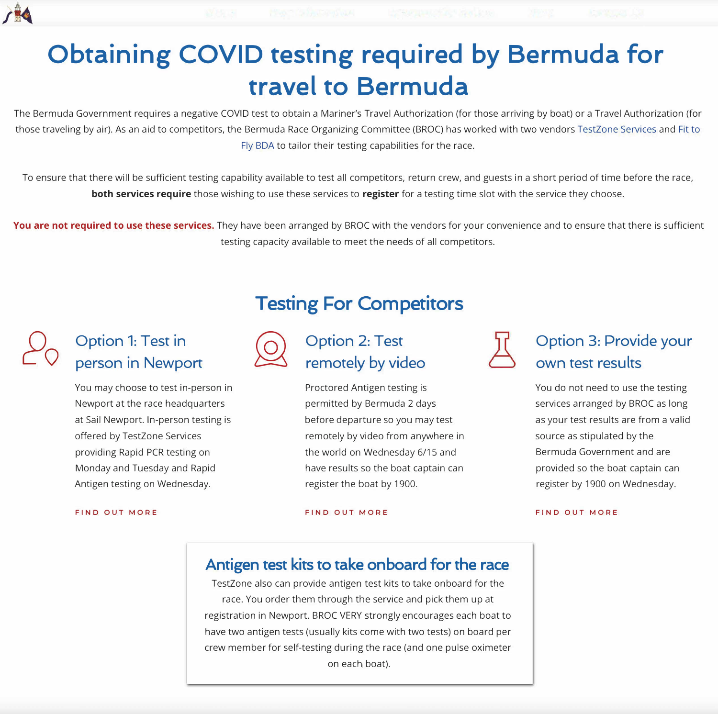

# **Obtaining COVID testing required by Bermuda for travel to Bermuda**

The Bermuda Government requires a negative COVID test to obtain a Mariner's Travel Authorization (for those arriving by boat) or a Travel Authorization (for those traveling by air). As an aid to competitors, the Bermuda Race Organizing Committee (BROC) has worked with two vendors TestZone Services and Fit to Fly BOA to tailor their testing capabilities for the race.

You are not required to use these services. They have been arranged by BROC with the vendors for your convenience and to ensure that there is sufficient testing capacity available to meet the needs of all competitors.

**Option 1: Test in**<br> **person in Newport**  $\bigotimes$  **remotely by video Option 2: Test** 



To ensure that there will be sufficient testing capability available to test all competitors, return crew, and guests in a short period of time before the race, **both services require** those wishing to use these services to **register** for a testing time slot with the service they choose.

offered by TestZone Services remotely by video from anywhere in Monday and Tuesday and Rapid **have results so the boat captain can** 

## **Testing For Competitors**



 $20$ 

You may choose to test in-person in Proctored Antigen testing is Newport at the race headquarters entitled by Bermuda 2 days at Sail Newport. In-person testing is before departure so you may test providing Rapid PCR testing on the world on Wednesday 6/15 and Antigen testing on Wednesday. The same of the boat by 1900.

> TestZone also can provide antigen test kits to take onboard for the race. You order them through the service and pick them up at registration in Newport. BROC VERY strongly encourages each boat to have two antigen tests (usually kits come with two tests) on board per crew member for self-testing during the race (and one pulse oximeter on each boat).

**FIND OUT MORE FIND OUT MORE** 



### **Antigen test kits to take onboard for the race**

### **Option 3: Provide your own test results**

You do not need to use the testing services arranged by BROC as long as your test results are from a valid source as stipulated by the Bermuda Government and are provided so the boat captain can register by 1900 on Wednesday.

**FIND OUT MORE**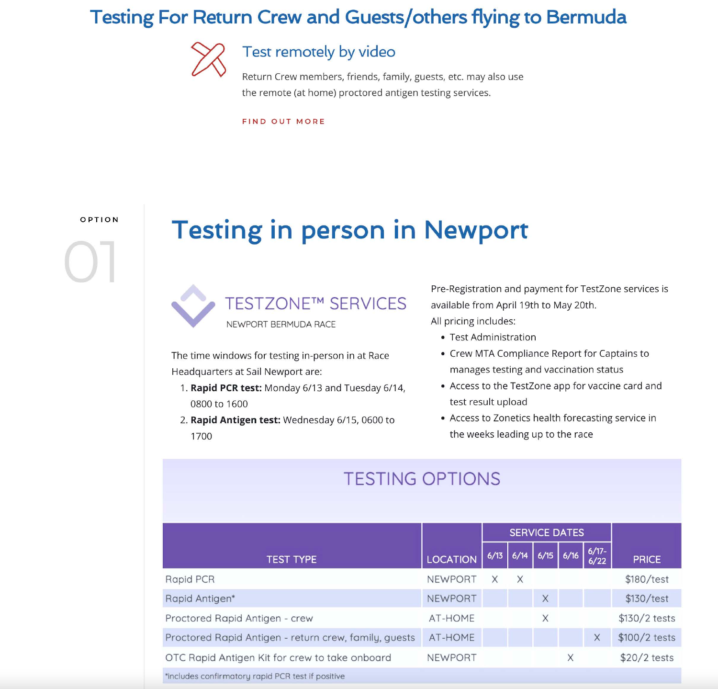## **Testing For Return Crew and Guests/others flying to Bermuda**



### Test remotely by video

Return Crew members, friends, family, guests, etc. may also use the remote (at home) proctored antigen testing services.

**FIND OUT MORE** 

#### OPTION

# **Testing in person in Newport**



The time windows for testing in-person in at Race Headquarters at Sail Newport are:

- 1. Rapid PCR test: Monday 6/13 and Tuesday 6/14, 0800 to 1600
- 2. Rapid Antigen test: Wednesday 6/15, 0600 to 1700

Pre-Registration and payment for TestZone services is available from April 19th to May 20th. All pricing includes:

- Test Administration
- 
- test result upload
- the weeks leading up to the race

## **TESTING OPTIONS**

|                                                       |                 | <b>SERV</b> |      |
|-------------------------------------------------------|-----------------|-------------|------|
| <b>TEST TYPE</b>                                      | <b>LOCATION</b> | 6/13        | 6/14 |
| Rapid PCR                                             | <b>NEWPORT</b>  |             | X    |
| Rapid Antigen*                                        | <b>NEWPORT</b>  |             |      |
| Proctored Rapid Antigen - crew                        | AT-HOME         |             |      |
| Proctored Rapid Antigen - return crew, family, guests | AT-HOME         |             |      |
| OTC Rapid Antigen Kit for crew to take onboard        | <b>NEWPORT</b>  |             |      |
| *includes confirmatory rapid PCR test if positive     |                 |             |      |



• Crew MTA Compliance Report for Captains to manages testing and vaccination status

• Access to the TestZone app for vaccine card and

• Access to Zonetics health forecasting service in